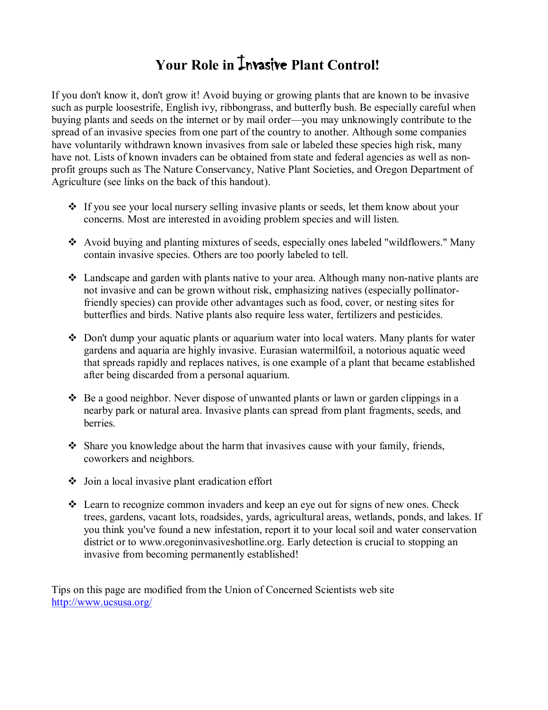# Your Role in **Invasive Plant Control!**

If you don't know it, don't grow it! Avoid buying or growing plants that are known to be invasive such as purple loosestrife, English ivy, ribbongrass, and butterfly bush. Be especially careful when buying plants and seeds on the internet or by mail order—you may unknowingly contribute to the spread of an invasive species from one part of the country to another. Although some companies have voluntarily withdrawn known invasives from sale or labeled these species high risk, many have not. Lists of known invaders can be obtained from state and federal agencies as well as nonprofit groups such as The Nature Conservancy, Native Plant Societies, and Oregon Department of Agriculture (see links on the back of this handout).

- If you see your local nursery selling invasive plants or seeds, let them know about your concerns. Most are interested in avoiding problem species and will listen.
- v Avoid buying and planting mixtures of seeds, especially ones labeled "wildflowers." Many contain invasive species. Others are too poorly labeled to tell.
- $\div$  Landscape and garden with plants native to your area. Although many non-native plants are not invasive and can be grown without risk, emphasizing natives (especially pollinatorfriendly species) can provide other advantages such as food, cover, or nesting sites for butterflies and birds. Native plants also require less water, fertilizers and pesticides.
- $\div$  Don't dump your aquatic plants or aquarium water into local waters. Many plants for water gardens and aquaria are highly invasive. Eurasian watermilfoil, a notorious aquatic weed that spreads rapidly and replaces natives, is one example of a plant that became established after being discarded from a personal aquarium.
- $\div$  Be a good neighbor. Never dispose of unwanted plants or lawn or garden clippings in a nearby park or natural area. Invasive plants can spread from plant fragments, seeds, and berries.
- $\div$  Share you knowledge about the harm that invasives cause with your family, friends, coworkers and neighbors.
- $\bullet$  Join a local invasive plant eradication effort
- $\div$  Learn to recognize common invaders and keep an eye out for signs of new ones. Check trees, gardens, vacant lots, roadsides, yards, agricultural areas, wetlands, ponds, and lakes. If you think you've found a new infestation, report it to your local soil and water conservation district or to www.oregoninvasiveshotline.org. Early detection is crucial to stopping an invasive from becoming permanently established!

Tips on this page are modified from the Union of Concerned Scientists web site <http://www.ucsusa.org/>